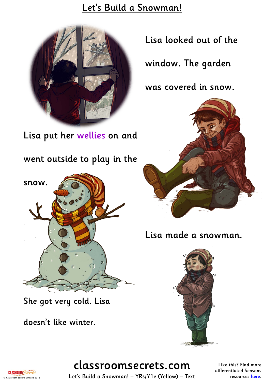#### Let's Build a Snowman!



Lisa put her wellies on and

went outside to play in the



She got very cold. Lisa

doesn't like winter.

Lisa looked out of the

window. The garden

was covered in snow.



Lisa made a snowman.



# classroomsecrets.com

Like this? Find more differentiated Seasons resources [here](http://www.classroomsecrets.com/tag/seasons).

**CLASSROOM<sup>S</sup>** © Classroom Secrets Limited 2016

Let's Build a Snowman! – YRs/Y1e (Yellow) – Text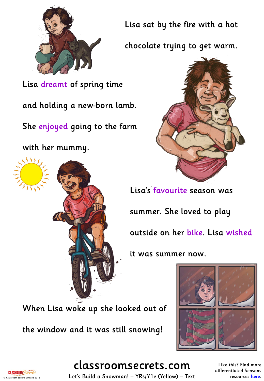

Lisa dreamt of spring time

and holding a new-born lamb.

She enjoyed going to the farm

with her mummy.

555

Lisa sat by the fire with a hot

chocolate trying to get warm.



Lisa's favourite season was

summer. She loved to play outside on her bike. Lisa wished

it was summer now.

When Lisa woke up she looked out of

the window and it was still snowing!





classroomsecrets.com

Like this? Find more differentiated Seasons resources [here](http://www.classroomsecrets.com/tag/seasons).

Let's Build a Snowman! – YRs/Y1e (Yellow) – Text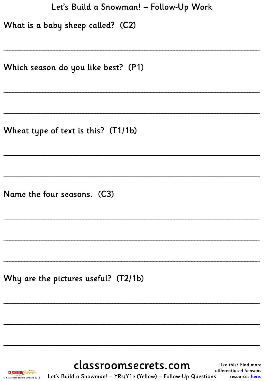#### Let's Build a Snowman! - Follow-Up Work

What is a baby sheep called? (C2)

Which season do you like best? (P1)

Wheat type of text is this? (T1/1b)

Name the four seasons. (C3)

Why are the pictures useful? (T2/1b)

**CLASSROOM**Secrets Classroom Secrets Limited 2016 classroomsecrets.com

Like this? Find more differentiated Seasons resources here.

Let's Build a Snowman! - YRs/Y1e (Yellow) - Follow-Up Questions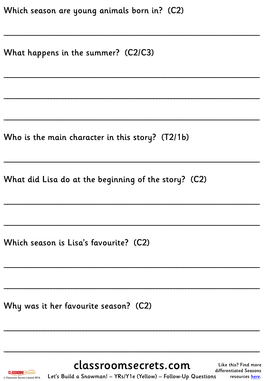| Which season are young animals born in? (C2) |  |  |  |
|----------------------------------------------|--|--|--|
|----------------------------------------------|--|--|--|

What happens in the summer? (C2/C3)

Who is the main character in this story? (T2/1b)

What did Lisa do at the beginning of the story? (C2)

Which season is Lisa's favourite? (C2)

Why was it her favourite season? (C2)

classroomsecrets.com

Like this? Find more differentiated Seasons resources here.

**CLASSROOMSect** Classroom Secrets Limited 2016

Let's Build a Snowman! - YRs/Y1e (Yellow) - Follow-Up Questions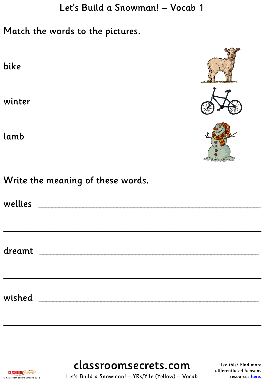Match the words to the pictures.

bike

winter

lamb







Write the meaning of these words.

| wellies ________________________    |  |  |
|-------------------------------------|--|--|
|                                     |  |  |
|                                     |  |  |
| dreamt ____________________________ |  |  |
|                                     |  |  |
|                                     |  |  |
| wished _________________            |  |  |
|                                     |  |  |

**CLASSROOMSect** © Classroom Secrets Limited 2016 classroomsecrets.com

 $\overline{\phantom{a}}$  , and the contract of the contract of the contract of the contract of the contract of the contract of the contract of the contract of the contract of the contract of the contract of the contract of the contrac

Like this? Find more differentiated Seasons resources [here](http://www.classroomsecrets.com/tag/seasons).

Let's Build a Snowman! – YRs/Y1e (Yellow) – Vocab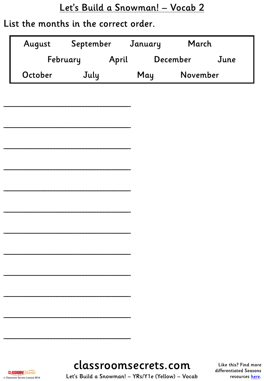#### List the months in the correct order.

| August  | September |       | January | March    |      |
|---------|-----------|-------|---------|----------|------|
|         | February  | April |         | December | June |
| October | July      |       | May     | November |      |



Like this? Find more differentiated Seasons resources [here](http://www.classroomsecrets.com/tag/seasons).

**CLASSROOM**Secrets Let's Build a Snowman! – YRs/Y1e (Yellow) – Vocab © Classroom Secrets Limited 2016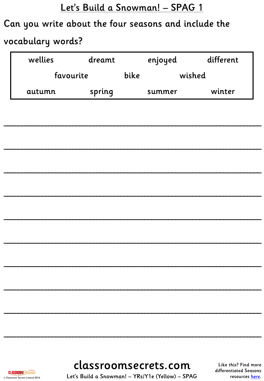# Can you write about the four seasons and include the vocabulary words?

| wellies   | dreamt |      | enjoyed | different |
|-----------|--------|------|---------|-----------|
| favourite |        | bike | wished  |           |
| autumn    | spring |      | summer  | winter    |

classroomsecrets.com

Like this? Find more differentiated Seasons resources here.

Let's Build a Snowman! - YRs/Y1e (Yellow) - SPAG

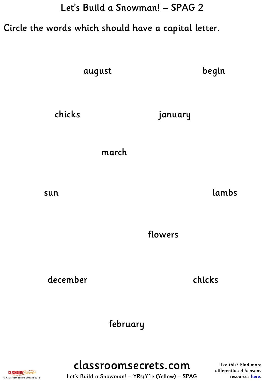# Circle the words which should have a capital letter.

august

begin

chicks january

march

sun lambs

flowers

december chicks

february

**CLASSROOM**Secrets © Classroom Secrets Limited 2016

classroomsecrets.com Let's Build a Snowman! – YRs/Y1e (Yellow) – SPAG

Like this? Find more differentiated Seasons resources [here](http://www.classroomsecrets.com/tag/seasons).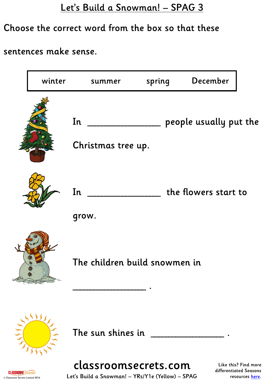### Choose the correct word from the box so that these

#### sentences make sense.

| winter                       | summer                        | spring | December               |  |
|------------------------------|-------------------------------|--------|------------------------|--|
|                              | In<br>Christmas tree up.      |        | people usually put the |  |
|                              | In<br>grow.                   |        | the flowers start to   |  |
|                              | The children build snowmen in |        |                        |  |
| 5575<br>$\sqrt{\frac{1}{1}}$ | The sun shines in             |        |                        |  |

**CLASSROOM**Secrets © Classroom Secrets Limited 2016 classroomsecrets.com

Like this? Find more differentiated Seasons resources [here](http://www.classroomsecrets.com/tag/seasons).

Let's Build a Snowman! – YRs/Y1e (Yellow) – SPAG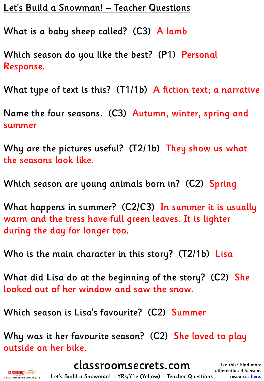Let's Build a Snowman! – Teacher Questions

What is a baby sheep called? (C3) A lamb

Which season do you like the best? (P1) Personal Response.

What type of text is this? (T1/1b) A fiction text; a narrative

Name the four seasons. (C3) Autumn, winter, spring and summer

Why are the pictures useful? (T2/1b) They show us what the seasons look like.

Which season are young animals born in? (C2) Spring

What happens in summer? (C2/C3) In summer it is usually warm and the tress have full green leaves. It is lighter during the day for longer too.

Who is the main character in this story? (T2/1b) Lisa

What did Lisa do at the beginning of the story? (C2) She looked out of her window and saw the snow.

Which season is Lisa's favourite? (C2) Summer

Why was it her favourite season? (C2) She loved to play outside on her bike.

classroomsecrets.com

Like this? Find more differentiated Seasons resources [here](http://www.classroomsecrets.com/tag/seasons).

**CLASSROOM**Secrets © Classroom Secrets Limited 2016

Let's Build a Snowman! – YRs/Y1e (Yellow) – Teacher Questions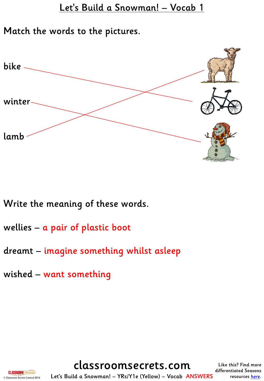Match the words to the pictures.



Write the meaning of these words.

- wellies a pair of plastic boot
- dreamt imagine something whilst asleep
- wished want something

classroomsecrets.com

Like this? Find more differentiated Seasons resources [here](http://www.classroomsecrets.com/tag/seasons).



Let's Build a Snowman! – YRs/Y1e (Yellow) – Vocab ANSWERS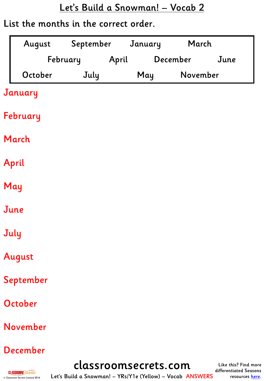#### List the months in the correct order.

| August    | September January |       |          | March    |      |
|-----------|-------------------|-------|----------|----------|------|
|           | February          | April | December |          | June |
| October   | July              |       | May      | November |      |
| January   |                   |       |          |          |      |
| February  |                   |       |          |          |      |
| March     |                   |       |          |          |      |
| April     |                   |       |          |          |      |
| May       |                   |       |          |          |      |
| June      |                   |       |          |          |      |
| July      |                   |       |          |          |      |
| August    |                   |       |          |          |      |
| September |                   |       |          |          |      |
| October   |                   |       |          |          |      |
| November  |                   |       |          |          |      |
|           |                   |       |          |          |      |

December

**CLASSROOM**Secrets © Classroom Secrets Limited 2016 classroomsecrets.com

Like this? Find more differentiated Seasons resources [here](http://www.classroomsecrets.com/tag/seasons).

Let's Build a Snowman! – YRs/Y1e (Yellow) – Vocab ANSWERS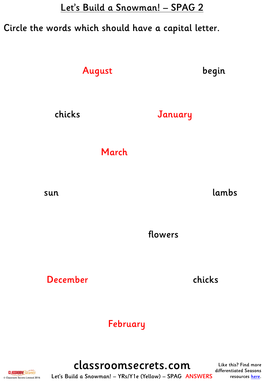### Circle the words which should have a capital letter.

August

begin

chicks January

March

sun lambs

flowers

December chicks

### February

**CLASSROOM**Secrets © Classroom Secrets Limited 2016

classroomsecrets.com Let's Build a Snowman! – YRs/Y1e (Yellow) – SPAG ANSWERS

Like this? Find more differentiated Seasons resources [here](http://www.classroomsecrets.com/tag/seasons).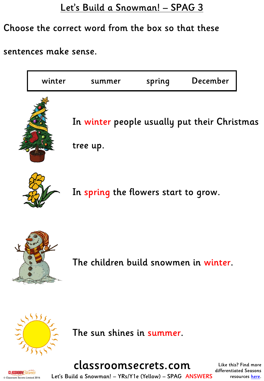#### Choose the correct word from the box so that these

#### sentences make sense.

| winter | summer                                                   | spring | December |  |
|--------|----------------------------------------------------------|--------|----------|--|
|        | In winter people usually put their Christmas<br>tree up. |        |          |  |
|        | In spring the flowers start to grow.                     |        |          |  |
|        | The children build snowmen in winter.                    |        |          |  |
| 5555   | The sun shines in summer.                                |        |          |  |



classroomsecrets.com

Like this? Find more differentiated Seasons resources [here](http://www.classroomsecrets.com/tag/seasons).

**CLASSROOM**Secrets © Classroom Secrets Limited 2016

Let's Build a Snowman! – YRs/Y1e (Yellow) – SPAG ANSWERS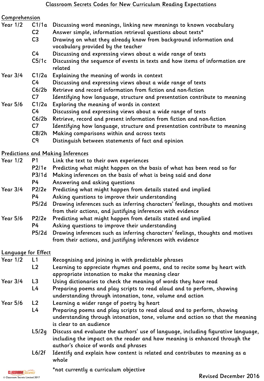#### Comprehension

- Year 1/2 C1/1a Discussing word meanings, linking new meanings to known vocabulary C2 Answer simple, information retrieval questions about texts\*
	- C3 Drawing on what they already know from background information and vocabulary provided by the teacher
	- C4 Discussing and expressing views about a wide range of texts
	- C5/1c Discussing the sequence of events in texts and how items of information are related

#### Year 3/4 C1/2a Explaining the meaning of words in context

- C4 Discussing and expressing views about a wide range of texts
- C6/2b Retrieve and record information from fiction and non-fiction
- C7 Identifying how language, structure and presentation contribute to meaning
- Year 5/6 C1/2a Exploring the meaning of words in context
	- C4 Discussing and expressing views about a wide range of texts
	- C6/2b Retrieve, record and present information from fiction and non-fiction
	- C7 Identifying how language, structure and presentation contribute to meaning
	- C8/2h Making comparisons within and across texts
	- C9 Distinguish between statements of fact and opinion

#### Predictions and Making Inferences

| <b>Year 1/2</b> | P <sub>1</sub> | Link the text to their own experiences                                          |
|-----------------|----------------|---------------------------------------------------------------------------------|
|                 | P2/1e          | Predicting what might happen on the basis of what has been read so far          |
|                 | P3/1d          | Making inferences on the basis of what is being said and done                   |
|                 | P4             | Answering and asking questions                                                  |
| Year 3/4        | P2/2e          | Predicting what might happen from details stated and implied                    |
|                 | P4             | Asking questions to improve their understanding                                 |
|                 | P5/2d          | Drawing inferences such as inferring characters' feelings, thoughts and motives |
|                 |                | from their actions, and justifying inferences with evidence                     |
| <b>Year 5/6</b> | P2/2e          | Predicting what might happen from details stated and implied                    |
|                 | P4             | Asking questions to improve their understanding                                 |
|                 | P5/2d          | Drawing inferences such as inferring characters' feelings, thoughts and motives |
|                 |                | from their actions, and justifying inferences with evidence                     |

#### Language for Effect

| <b>Year 1/2</b> | L1             | Recognising and joining in with predictable phrases                                                                                                             |
|-----------------|----------------|-----------------------------------------------------------------------------------------------------------------------------------------------------------------|
|                 | L <sub>2</sub> | Learning to appreciate rhymes and poems, and to recite some by heart with                                                                                       |
|                 |                | appropriate intonation to make the meaning clear                                                                                                                |
| <b>Year 3/4</b> | L3             | Using dictionaries to check the meaning of words they have read                                                                                                 |
|                 | L4             | Preparing poems and play scripts to read aloud and to perform, showing                                                                                          |
|                 |                | understanding through intonation, tone, volume and action                                                                                                       |
| <b>Year 5/6</b> | L2             | Learning a wider range of poetry by heart                                                                                                                       |
|                 | L4             | Preparing poems and play scripts to read aloud and to perform, showing                                                                                          |
|                 |                | understanding through intonation, tone, volume and action so that the meaning                                                                                   |
|                 |                | is clear to an audience                                                                                                                                         |
|                 | L5/2q          | Discuss and evaluate the authors' use of language, including figurative language,<br>including the impact on the reader and how meaning is enhanced through the |
|                 |                | author's choice of words and phrases                                                                                                                            |
|                 |                | L6/2f Leopatifu and explain how content is related and contributes to meaning as a                                                                              |

L6/2f Identify and explain how content is related and contributes to meaning as a whole